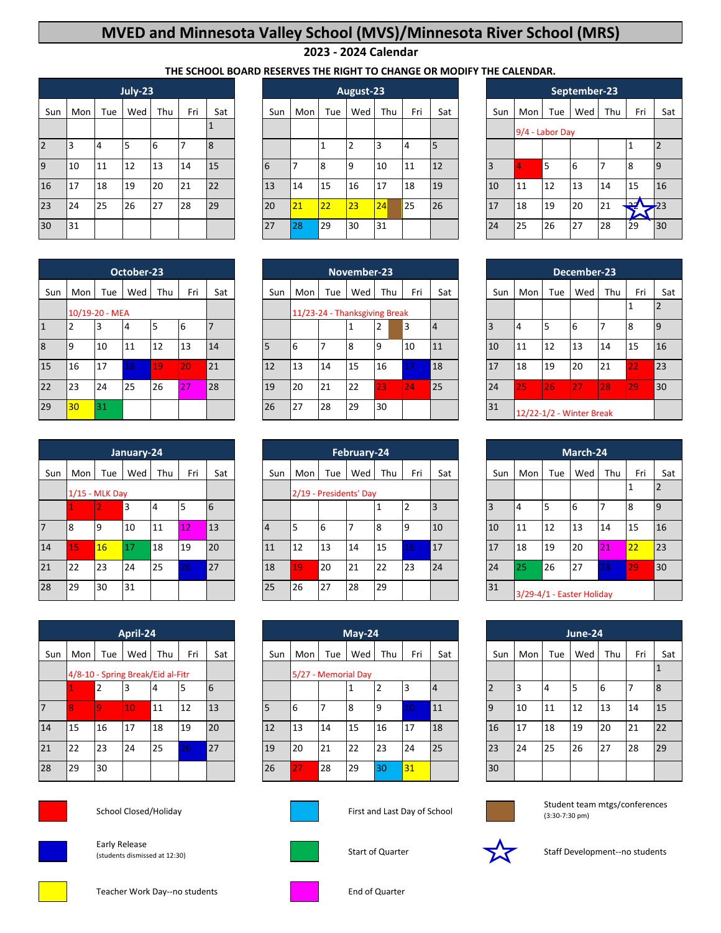## **MVED and Minnesota Valley School (MVS)/Minnesota River School (MRS)**

## **2023 - 2024 Calendar**

## **THE SCHOOL BOARD RESERVES THE RIGHT TO CHANGE OR MODIFY THE CALENDAR.**

|                |     |     | July-23 |     |     |     |   |     |     |     | August-23 |     |     |     |     |                 |     | September-23 |    |     |
|----------------|-----|-----|---------|-----|-----|-----|---|-----|-----|-----|-----------|-----|-----|-----|-----|-----------------|-----|--------------|----|-----|
| Sun            | Mon | Tue | Wed     | Thu | Fri | Sat |   | Sun | Mon | Tue | Wed       | Thu | Fri | Sat | Sun | Mon             | Tue | Wed          |    | Thu |
|                |     |     |         |     |     |     |   |     |     |     |           |     |     |     |     | 9/4 - Labor Day |     |              |    |     |
| $\overline{2}$ | כ ו |     | 5       | 6   |     | 8   |   |     |     |     |           | 3   | 4   |     |     |                 |     |              |    |     |
| $\overline{9}$ | 10  | 11  | 12      | 13  | 14  | 15  | 6 |     |     | 8   | ۱q        | 10  | 11  | 12  |     |                 | 5   | 6            |    |     |
| 16             | 17  | 18  | 19      | 20  | 21  | 22  |   | 13  | 14  | 15  | 16        | 17  | 18  | 19  | 10  | 11              | 12  | 13           | 14 |     |
| 23             | 24  | 25  | 26      | 127 | 28  | 29  |   | 20  | 21  | 22  | 23        | 24  | 25  | 26  | 17  | 18              | 19  | 20           | 21 |     |
| 30             | 31  |     |         |     |     |     |   | 27  | 28  | 29  | 30        | 31  |     |     | 24  | 25              | 26  | 27           | 28 |     |

|                |                |     | October-23 |     |                  |     |     |                                         |     | November-23 |     |     |     |     |                          |     | December-23 |     |     |                |
|----------------|----------------|-----|------------|-----|------------------|-----|-----|-----------------------------------------|-----|-------------|-----|-----|-----|-----|--------------------------|-----|-------------|-----|-----|----------------|
| Sun            | Mon            | Tue | Wed        | Thu | Fri              | Sat | Sun | Mon                                     | Tue | Wed         | Thu | Fri | Sat | Sun | Mon                      | Tue | Wed         | Thu | Fri |                |
|                | 10/19-20 - MEA |     |            |     |                  |     |     | 11/23-24 - Thanksgiving Break<br>2<br>3 |     |             |     |     |     |     |                          |     | 2           |     |     |                |
| $\overline{1}$ |                | э   | 4          | ь   | 16               |     |     |                                         |     |             |     |     |     |     |                          | 5   | 6           |     | 18  | $\overline{9}$ |
| $\overline{8}$ | 9              | 10  | 11         | 12  | 13               | 14  |     | 6                                       |     | 18          | 19  | 10  | 11  | 10  | 11                       | 12  | 13          | 14  | 115 | 16             |
| 15             | 16             | 17  | 18         | 19  | 20               | 21  | 12  | 13                                      | 14  | 15          | 16  |     | 18  | 17  | 18                       | 19  | 20          | 21  | 22  | 23             |
| 22             | 23             | 24  | 25         | 26  | っっ<br><b>A.V</b> | 28  | 19  | 20                                      | 21  | 22          | 23  | 24  | 25  | 24  | 25                       | 26  | 127         | 128 | 29  | 30             |
| 29             | 30             | 31  |            |     |                  |     | 26  | 30<br>28<br>29<br>27                    |     |             |     | 31  |     |     | 12/22-1/2 - Winter Break |     |             |     |     |                |

|     |                |     | January-24 |     |     |     |                             |                        |     | February-24 |     |     |     |     |                           |     | March-24 |     |           |
|-----|----------------|-----|------------|-----|-----|-----|-----------------------------|------------------------|-----|-------------|-----|-----|-----|-----|---------------------------|-----|----------|-----|-----------|
| Sun | Mon            | Tue | Wed        | Thu | Fri | Sat | Sun                         | Mon                    | Tue | Wed         | Thu | Fri | Sat | Sun | Mon                       | Tue | Wed      | Thu | Fri       |
|     | 1/15 - MLK Day |     |            |     |     |     |                             | 2/19 - Presidents' Day |     |             |     |     |     |     |                           |     |          |     |           |
|     |                |     | 3          | 4   |     | 6   |                             |                        |     |             |     |     |     | 3   |                           | 5   | 6        |     | 18        |
|     | 8              | 9   | 10         | 11  | 12  | 13  | $\overline{4}$              |                        | 6   |             | 8   | 9   | 10  | 10  | 11                        | 12  | 13       | 14  | <b>15</b> |
| 14  | 15             | 16  |            | 18  | 19  | 20  | 11                          | 12                     | 13  | 14          | 15  | 16  | 17  | 17  | 18                        | 19  | 20       | 21  | 22        |
| 21  | 22             | 23  | 24         | 25  | 26  | 27  | 18                          | 19                     | 20  | 21          | 22  | 23  | 24  | 24  | 25                        | 26  | 27       | 28  | 29        |
| 28  | 29             | 30  | 31         |     |     |     | 25<br>29<br>127<br>28<br>26 |                        |     |             |     | 31  |     |     | 3/29-4/1 - Easter Holiday |     |          |     |           |

|                |                                   |     | April-24 |     |     |     |     |                          |     | $May-24$ |     |     |     |                |     |     | June-24 |     |     |    |
|----------------|-----------------------------------|-----|----------|-----|-----|-----|-----|--------------------------|-----|----------|-----|-----|-----|----------------|-----|-----|---------|-----|-----|----|
| Sun            | Mon                               | Tue | Wed      | Thu | Fri | Sat | Sun | Mon                      | Tue | Wed      | Thu | Fri | Sat | Sun            | Mon | Tue | Wed     | Thu | Fri |    |
|                | 4/8-10 - Spring Break/Eid al-Fitr |     |          |     |     |     |     | 5/27 - Memorial Day<br>▗ |     |          |     |     |     |                |     |     |         |     |     |    |
|                |                                   | 2   | ್ರ       |     |     | 6   |     |                          |     |          |     |     |     |                |     | 4   |         | b   |     | 8  |
| $\overline{7}$ |                                   |     | 10       | 11  | 12  | 13  |     | 16                       |     | 8        | 19  | 10  | 11  | $\overline{9}$ | 10  | 11  | 12      | 13  | 14  | 15 |
| 14             | 15                                | 16  | 17       | 18  | 19  | 20  | 12  | 13                       | 14  | 15       | 16  | 17  | 18  | 16             | 17  | 18  | 19      | 20  | 21  | 22 |
| 21             | 22                                | 23  | 24       | 25  | 26  | 27  | 19  | 20                       | 21  | 22       | 23  | 24  | 25  | 23             | 24  | 25  | 26      | 27  | 28  | 29 |
| 28             | 29                                | 30  |          |     |     |     | 26  | 27                       | 28  | 29       | 30  | 31  |     | 30             |     |     |         |     |     |    |



School Closed/Holiday **First and Last Day of School** 



Early Release (students dismissed at 12:30)



|     |     |     | July-23 |     |     |          |     |     |     | August-23 |     |     |     |     |                   |     | September-23 |     |               |                |
|-----|-----|-----|---------|-----|-----|----------|-----|-----|-----|-----------|-----|-----|-----|-----|-------------------|-----|--------------|-----|---------------|----------------|
| Sun | Mon | Tue | Wed     | Thu | Fri | Sat      | Sun | Mon | Tue | Wed       | Thu | Fri | Sat | Sun | Mon               | Tue | Wed          | Thu | Fri           | Sat            |
|     |     |     |         |     |     |          |     |     |     |           |     |     |     |     | $9/4$ - Labor Day |     |              |     |               |                |
|     |     | 4   |         | 6   |     | <b>R</b> |     |     |     |           |     | 4   |     |     |                   |     |              |     |               |                |
|     | 10  | 11  | 12      | 13  | 14  | 15       | 6   |     | 18  | 9         | 10  | 11  | 12  | 3   |                   | 5   | 6            |     | 8             | $\overline{9}$ |
| 6   | 17  | 18  | 19      | 20  | 21  | 22       | 13  | 14  | 15  | 16        | 17  | 18  | 19  | 10  | 11                | 12  | 13           | 14  | 15            | 16             |
| 3   | 24  | 25  | 26      | 27  | 28  | 29       | 20  | 21  | 22  | 23        | 24  | 25  | 26  | 17  | 18                | 19  | 20           | 21  | محد<br>æ<br>∽ | $-23$          |
| 0   | 131 |     |         |     |     |          | 27  | 28  | 29  | 30        | 31  |     |     | 24  | 25                | 26  | 27           | 28  | 29            | 30             |

|                |                |     | October-23 |     |     |     |     |                                         |     | November-23 |     |  |     |                |     |               |                          | December-23 |              |     |                |
|----------------|----------------|-----|------------|-----|-----|-----|-----|-----------------------------------------|-----|-------------|-----|--|-----|----------------|-----|---------------|--------------------------|-------------|--------------|-----|----------------|
| Sun            | Mon            | Tue | Wed        | Thu | Fri | Sat | Sun | Mon                                     | Tue | Wed         | Thu |  | Fri | Sat            | Sun | Mon           | Tue                      | Wed         | Thu          | Fri | Sat            |
|                | 10/19-20 - MEA |     |            |     |     |     |     | 11/23-24 - Thanksgiving Break<br>$\sim$ |     |             |     |  |     |                |     |               |                          |             |              |     |                |
|                |                | з   |            |     | 6   |     |     |                                         |     |             |     |  | з   | $\overline{4}$ |     | 4             |                          | 6           |              | 8   | $\overline{9}$ |
|                | 19             | 10  | 11         | 12  | 13  | 14  |     | h                                       |     | 8           | 19  |  | 10  | 11             | 10  | 11            | 12                       | 13          | 14           | 15  | <b>16</b>      |
| 5              | 16             | 17  | 18         | 19  | 20  | 21  | 12  | 13                                      | 14  | 15          | 16  |  |     | 18             | 17  | <sup>18</sup> | 19                       | 20          | 121          | 22  | 23             |
| $\overline{2}$ | 23             | 24  | 25         | 26  | 27  | 28  | 19  | 20                                      | 21  | 22          | 23  |  | 24  | 25             | 24  | 25            | 26                       | 127         | $ 28\rangle$ | 29  | 30             |
| 9              | $ 30\rangle$   | 31  |            |     |     |     | 26  | 29<br>27<br>28<br>30                    |     |             |     |  |     | 31             |     |               | 12/22-1/2 - Winter Break |             |              |     |                |

|                |                  |                | January-24 |                |     |     |     |                             |     | February-24 |     |     |     |     |                |     | March-24                  |     |                 |                |
|----------------|------------------|----------------|------------|----------------|-----|-----|-----|-----------------------------|-----|-------------|-----|-----|-----|-----|----------------|-----|---------------------------|-----|-----------------|----------------|
| Sun            | Mon              | Tue            | Wed        | Thu            | Fri | Sat | Sun | Mon                         | Tue | Wed         | Thu | Fri | Sat | Sun | Mon            | Tue | Wed                       | Thu | Fri             | Sat            |
|                | $1/15$ - MLK Day |                |            |                |     |     |     | 2/19 - Presidents' Day<br>2 |     |             |     |     |     |     |                |     |                           |     | $\overline{2}$  |                |
|                |                  | 2              | 3          | $\overline{4}$ | 5   | 6   |     |                             |     |             |     |     |     | В   | $\overline{4}$ |     | 6                         |     | 8               | $\overline{9}$ |
|                | 18               | $\overline{9}$ | 10         | 11             | 12  | 13  | 4   |                             | 6   |             | 8   | 9   | 10  | 10  | 11             | 12  | 13                        | 14  | 15              | 16             |
| $\overline{4}$ | 15               | 16             | 17         | 18             | 19  | 20  | 11  | 12                          | 13  | 14          | 15  | L6  | 17  | 17  | 118            | 19  | 20                        | 21  | 22              | 23             |
|                | 22               | 23             | 24         | 25             | 26  | 27  | 18  | 19                          | 20  | 21          | 22  | 23  | 24  | 24  | 125            | 26  | 27                        | 28  | 29 <sub>1</sub> | 30             |
| 8              | 29               | 30             | 31         |                |     |     | 25  | 27<br>28<br>29<br>26        |     |             |     |     |     | 31  |                |     | 3/29-4/1 - Easter Holiday |     |                 |                |

|     |     |     | April-24 |                                   |     |     |     |     |                     | $May-24$ |     |     |          |     |     |     | June-24 |     |     |     |
|-----|-----|-----|----------|-----------------------------------|-----|-----|-----|-----|---------------------|----------|-----|-----|----------|-----|-----|-----|---------|-----|-----|-----|
| Sun | Mon | Tue | Wed      | Thu                               | Fri | Sat | Sun | Mon | Tue                 | Wed      | Thu | Fri | Sat      | Sun | Mon | Tue | Wed     | Thu | Fri | Sat |
|     |     |     |          | 4/8-10 - Spring Break/Eid al-Fitr |     |     |     |     | 5/27 - Memorial Day |          |     |     |          |     |     |     |         |     |     |     |
|     |     | 2   |          | 4                                 |     | 6   |     |     |                     |          |     |     | <b>4</b> |     | 3   | 4   |         | h   |     | 8   |
|     |     | 9   | 10       | 11                                | 12  | 13  |     | b   |                     | 8        | 19  |     | 11       | 9   | 10  | 11  | 12      | 13  | 14  | 15  |
| 4   | 15  | 16  | 17       | 18                                | 19  | 20  | 12  | 13  | 14                  | 15       | 16  | 17  | 18       | 16  | 17  | 18  | 19      | 20  | 21  | 22  |
|     | 22  | 23  | 24       | 25                                | 26  | 127 | 19  | 20  | 21                  | 22       | 23  | 24  | 25       | 23  | 24  | 25  | 26      | 27  | 28  | 29  |
| 8   | 29  | 30  |          |                                   |     |     | 26  | 27  | 28                  | 29       | 130 | 31  |          | 30  |     |     |         |     |     |     |



Student team mtgs/conferences (3:30-7:30 pm)



Start of Quarter Staff Development--no students

Teacher Work Day--no students **End of Quarter** End of Quarter